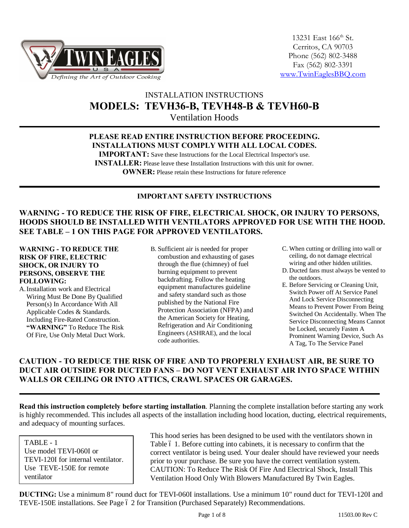

# INSTALLATION INSTRUCTIONS **MODELS: TEVH36-B, TEVH48-B & TEVH60-B**

Ventilation Hoods

### **PLEASE READ ENTIRE INSTRUCTION BEFORE PROCEEDING. INSTALLATIONS MUST COMPLY WITH ALL LOCAL CODES.**

**IMPORTANT:** Save these Instructions for the Local Electrical Inspector's use. **INSTALLER:** Please leave these Installation Instructions with this unit for owner.

**OWNER:** Please retain these Instructions for future reference

### **IMPORTANT SAFETY INSTRUCTIONS**

### **WARNING - TO REDUCE THE RISK OF FIRE, ELECTRICAL SHOCK, OR INJURY TO PERSONS, HOODS SHOULD BE INSTALLED WITH VENTILATORS APPROVED FOR USE WITH THE HOOD. SEE TABLE – 1 ON THIS PAGE FOR APPROVED VENTILATORS.**

#### **WARNING - TO REDUCE THE RISK OF FIRE, ELECTRIC SHOCK, OR INJURY TO PERSONS, OBSERVE THE FOLLOWING:**

- A.Installation work and Electrical Wiring Must Be Done By Qualified Person(s) In Accordance With All Applicable Codes & Standards. Including Fire-Rated Construction. **"WARNING"** To Reduce The Risk Of Fire, Use Only Metal Duct Work.
- B. Sufficient air is needed for proper combustion and exhausting of gases through the flue (chimney) of fuel burning equipment to prevent backdrafting. Follow the heating equipment manufactures guideline and safety standard such as those published by the National Fire Protection Association (NFPA) and the American Society for Heating, Refrigeration and Air Conditioning Engineers (ASHRAE), and the local code authorities.
- C. When cutting or drilling into wall or ceiling, do not damage electrical wiring and other hidden utilities.
- D. Ducted fans must always be vented to the outdoors.
- E. Before Servicing or Cleaning Unit, Switch Power off At Service Panel And Lock Service Disconnecting Means to Prevent Power From Being Switched On Accidentally. When The Service Disconnecting Means Cannot be Locked, securely Fasten A Prominent Warning Device, Such As A Tag, To The Service Panel

### **CAUTION - TO REDUCE THE RISK OF FIRE AND TO PROPERLY EXHAUST AIR, BE SURE TO DUCT AIR OUTSIDE FOR DUCTED FANS – DO NOT VENT EXHAUST AIR INTO SPACE WITHIN WALLS OR CEILING OR INTO ATTICS, CRAWL SPACES OR GARAGES.**

**Read this instruction completely before starting installation**. Planning the complete installation before starting any work is highly recommended. This includes all aspects of the installation including hood location, ducting, electrical requirements, and adequacy of mounting surfaces.

TABLE - 1 Use model TEVI-060I or TEVI-120I for internal ventilator. Use TEVE-150E for remote ventilator

This hood series has been designed to be used with the ventilators shown in Table 6 1. Before cutting into cabinets, it is necessary to confirm that the correct ventilator is being used. Your dealer should have reviewed your needs prior to your purchase. Be sure you have the correct ventilation system. CAUTION: To Reduce The Risk Of Fire And Electrical Shock, Install This Ventilation Hood Only With Blowers Manufactured By Twin Eagles.

**DUCTING:** Use a minimum 8" round duct for TEVI-060I installations. Use a minimum 10" round duct for TEVI-120I and TEVE-150E installations. See Page 6 2 for Transition (Purchased Separately) Recommendations.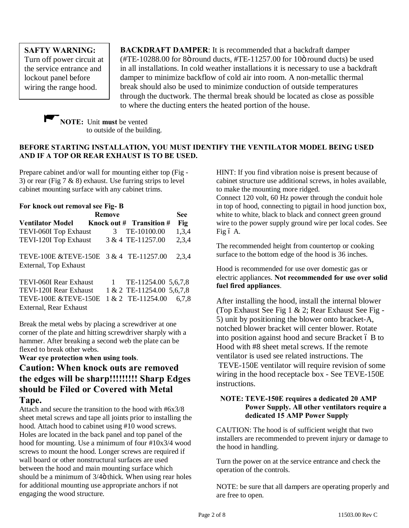**SAFTY WARNING:** Turn off power circuit at the service entrance and lockout panel before wiring the range hood.

.

**BACKDRAFT DAMPER**: It is recommended that a backdraft damper (#TE-10288.00 for 8 $\ddot{\rm o}$  round ducts, #TE-11257.00 for 10 $\ddot{\rm o}$  round ducts) be used in all installations. In cold weather installations it is necessary to use a backdraft damper to minimize backflow of cold air into room. A non-metallic thermal break should also be used to minimize conduction of outside temperatures through the ductwork. The thermal break should be located as close as possible to where the ducting enters the heated portion of the house.



#### **BEFORE STARTING INSTALLATION, YOU MUST IDENTIFY THE VENTILATOR MODEL BEING USED AND IF A TOP OR REAR EXHAUST IS TO BE USED.**

Prepare cabinet and/or wall for mounting either top (Fig - 3) or rear (Fig  $7 \& 8$ ) exhaust. Use furring strips to level cabinet mounting surface with any cabinet trims.

| For knock out removal see Fig-B                                 |                                 |                     |       |
|-----------------------------------------------------------------|---------------------------------|---------------------|-------|
| <b>Remove</b>                                                   |                                 |                     | See   |
| <b>Ventilator Model</b>                                         | <b>Knock out # Transition #</b> |                     | Fig   |
| TEVI-060I Top Exhaust                                           | 3                               | TE-10100.00         | 1,3,4 |
| TEVI-120I Top Exhaust                                           | 3 & 4 TE-11257.00               |                     | 2,3,4 |
| TEVE-100E &TEVE-150E 3 & 4 TE-11257.00<br>External, Top Exhaust |                                 |                     | 2,3,4 |
| TEVI-060I Rear Exhaust                                          | 1                               | TE-11254.00 5,6,7,8 |       |
| TEVI-120I Rear Exhaust                                          | 1 & 2 TE-11254.00 5,6,7,8       |                     |       |
| TEVE-100E &TEVE-150E                                            | 1 & 2 TE-11254.00               |                     | 6.7.8 |

External, Rear Exhaust Break the metal webs by placing a screwdriver at one corner of the plate and hitting screwdriver sharply with a hammer. After breaking a second web the plate can be

# flexed to break other webs.

#### **Wear eye protection when using tools**.

# **Caution: When knock outs are removed the edges will be sharp!!!!!!!!! Sharp Edges should be Filed or Covered with Metal Tape.**

Attach and secure the transition to the hood with #6x3/8 sheet metal screws and tape all joints prior to installing the hood. Attach hood to cabinet using #10 wood screws. Holes are located in the back panel and top panel of the hood for mounting. Use a minimum of four #10x3/4 wood screws to mount the hood. Longer screws are required if wall board or other nonstructural surfaces are used between the hood and main mounting surface which should be a minimum of  $3/4$  thick. When using rear holes for additional mounting use appropriate anchors if not engaging the wood structure.

HINT: If you find vibration noise is present because of cabinet structure use additional screws, in holes available, to make the mounting more ridged.

Connect 120 volt, 60 Hz power through the conduit hole in top of hood, connecting to pigtail in hood junction box, white to white, black to black and connect green ground wire to the power supply ground wire per local codes. See Fig ó A.

The recommended height from countertop or cooking surface to the bottom edge of the hood is 36 inches.

Hood is recommended for use over domestic gas or electric appliances. **Not recommended for use over solid fuel fired appliances**.

After installing the hood, install the internal blower (Top Exhaust See Fig 1 & 2; Rear Exhaust See Fig - 5) unit by positioning the blower onto bracket-A, notched blower bracket will center blower. Rotate into position against hood and secure Bracket 6 B to Hood with #8 sheet metal screws. If the remote ventilator is used see related instructions. The TEVE-150E ventilator will require revision of some wiring in the hood receptacle box - See TEVE-150E instructions.

#### **NOTE: TEVE-150E requires a dedicated 20 AMP Power Supply. All other ventilators require a dedicated 15 AMP Power Supply**

CAUTION: The hood is of sufficient weight that two installers are recommended to prevent injury or damage to the hood in handling.

Turn the power on at the service entrance and check the operation of the controls.

NOTE: be sure that all dampers are operating properly and are free to open.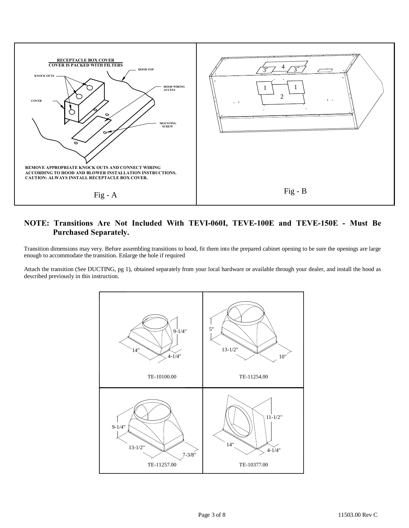

### **NOTE: Transitions Are Not Included With TEVI-060I, TEVE-100E and TEVE-150E - Must Be Purchased Separately.**

Transition dimensions may very. Before assembling transitions to hood, fit them into the prepared cabinet opening to be sure the openings are large enough to accommodate the transition. Enlarge the hole if required

Attach the transition (See DUCTING, pg 1), obtained separately from your local hardware or available through your dealer, and install the hood as described previously in this instruction.

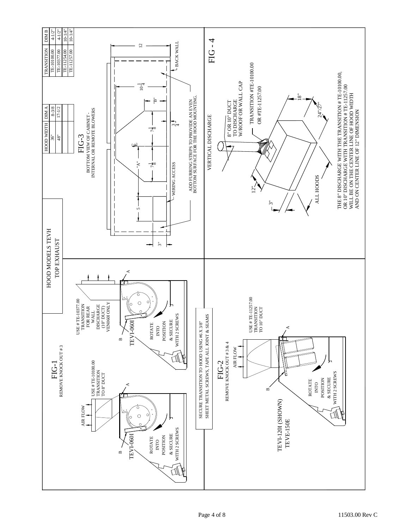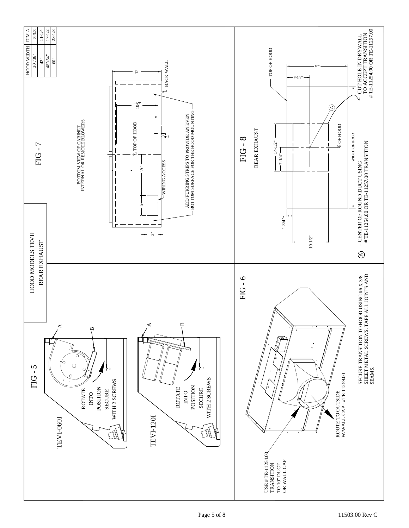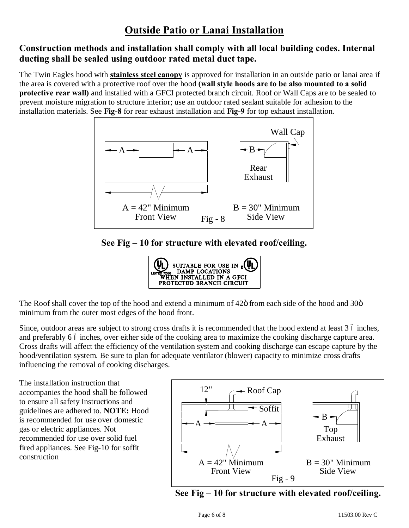# **Construction methods and installation shall comply with all local building codes. Internal ducting shall be sealed using outdoor rated metal duct tape.**

The Twin Eagles hood with **stainless steel canopy** is approved for installation in an outside patio or lanai area if the area is covered with a protective roof over the hood **(wall style hoods are to be also mounted to a solid protective rear wall)** and installed with a GFCI protected branch circuit. Roof or Wall Caps are to be sealed to prevent moisture migration to structure interior; use an outdoor rated sealant suitable for adhesion to the installation materials. See **Fig-8** for rear exhaust installation and **Fig-9** for top exhaust installation.



**See Fig – 10 for structure with elevated roof/ceiling.**



The Roof shall cover the top of the hood and extend a minimum of 42 $\ddot{o}$  from each side of the hood and 30 $\ddot{o}$ minimum from the outer most edges of the hood front.

Since, outdoor areas are subject to strong cross drafts it is recommended that the hood extend at least 3 6 inches, and preferably 6 6 inches, over either side of the cooking area to maximize the cooking discharge capture area. Cross drafts will affect the efficiency of the ventilation system and cooking discharge can escape capture by the hood/ventilation system. Be sure to plan for adequate ventilator (blower) capacity to minimize cross drafts influencing the removal of cooking discharges.

The installation instruction that accompanies the hood shall be followed to ensure all safety Instructions and guidelines are adhered to. **NOTE:** Hood is recommended for use over domestic gas or electric appliances. Not recommended for use over solid fuel fired appliances. See Fig-10 for soffit construction



**See Fig – 10 for structure with elevated roof/ceiling.**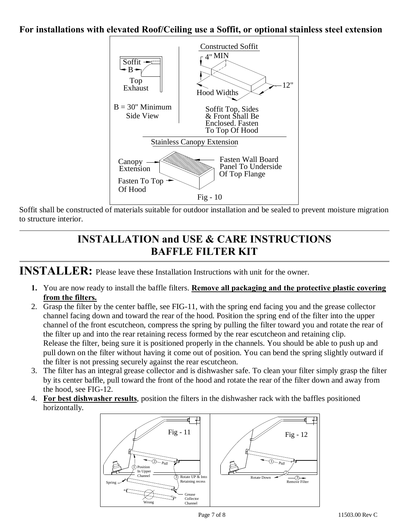# **For installations with elevated Roof/Ceiling use a Soffit, or optional stainless steel extension**



Soffit shall be constructed of materials suitable for outdoor installation and be sealed to prevent moisture migration to structure interior.

# **INSTALLATION and USE & CARE INSTRUCTIONS BAFFLE FILTER KIT**

**INSTALLER:** Please leave these Installation Instructions with unit for the owner.

- **1.** You are now ready to install the baffle filters. **Remove all packaging and the protective plastic covering from the filters.**
- 2. Grasp the filter by the center baffle, see FIG-11, with the spring end facing you and the grease collector channel facing down and toward the rear of the hood. Position the spring end of the filter into the upper channel of the front escutcheon, compress the spring by pulling the filter toward you and rotate the rear of the filter up and into the rear retaining recess formed by the rear escutcheon and retaining clip. Release the filter, being sure it is positioned properly in the channels. You should be able to push up and pull down on the filter without having it come out of position. You can bend the spring slightly outward if the filter is not pressing securely against the rear escutcheon.
- 3. The filter has an integral grease collector and is dishwasher safe. To clean your filter simply grasp the filter by its center baffle, pull toward the front of the hood and rotate the rear of the filter down and away from the hood, see FIG-12.
- 4. **For best dishwasher results**, position the filters in the dishwasher rack with the baffles positioned horizontally.